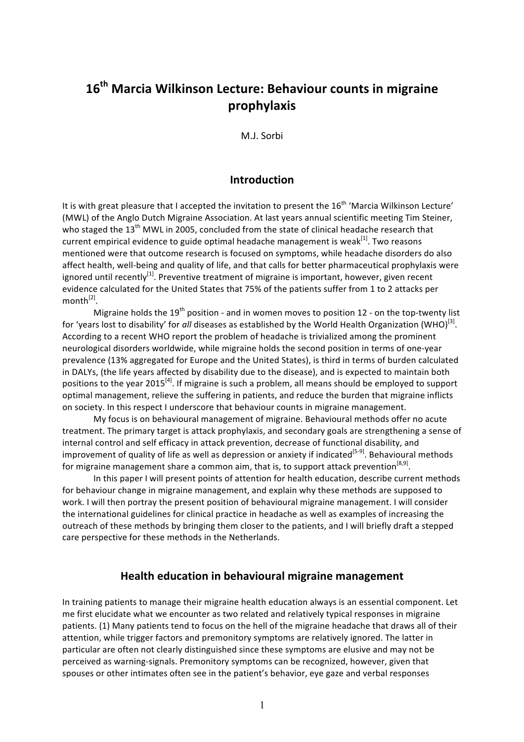# 16<sup>th</sup> Marcia Wilkinson Lecture: Behaviour counts in migraine **prophylaxis**

M.J. Sorbi

# **Introduction**

It is with great pleasure that I accepted the invitation to present the 16<sup>th</sup> 'Marcia Wilkinson Lecture' (MWL) of the Anglo Dutch Migraine Association. At last years annual scientific meeting Tim Steiner, who staged the 13<sup>th</sup> MWL in 2005, concluded from the state of clinical headache research that current empirical evidence to guide optimal headache management is weak $[1]$ . Two reasons mentioned were that outcome research is focused on symptoms, while headache disorders do also affect health, well-being and quality of life, and that calls for better pharmaceutical prophylaxis were ignored until recently<sup>[1]</sup>. Preventive treatment of migraine is important, however, given recent evidence calculated for the United States that 75% of the patients suffer from 1 to 2 attacks per month $^{[2]}$ .

Migraine holds the 19<sup>th</sup> position - and in women moves to position 12 - on the top-twenty list for 'years lost to disability' for *all* diseases as established by the World Health Organization (WHO)<sup>[3]</sup>. According to a recent WHO report the problem of headache is trivialized among the prominent neurological disorders worldwide, while migraine holds the second position in terms of one-year prevalence (13% aggregated for Europe and the United States), is third in terms of burden calculated in DALYs, (the life years affected by disability due to the disease), and is expected to maintain both positions to the year 2015<sup>[4]</sup>. If migraine is such a problem, all means should be employed to support optimal management, relieve the suffering in patients, and reduce the burden that migraine inflicts on society. In this respect I underscore that behaviour counts in migraine management.

My focus is on behavioural management of migraine. Behavioural methods offer no acute treatment. The primary target is attack prophylaxis, and secondary goals are strengthening a sense of internal control and self efficacy in attack prevention, decrease of functional disability, and improvement of quality of life as well as depression or anxiety if indicated<sup>[5-9]</sup>. Behavioural methods for migraine management share a common aim, that is, to support attack prevention<sup>[8,9]</sup>.

In this paper I will present points of attention for health education, describe current methods for behaviour change in migraine management, and explain why these methods are supposed to work. I will then portray the present position of behavioural migraine management. I will consider the international guidelines for clinical practice in headache as well as examples of increasing the outreach of these methods by bringing them closer to the patients, and I will briefly draft a stepped care perspective for these methods in the Netherlands.

#### **Health education in behavioural migraine management**

In training patients to manage their migraine health education always is an essential component. Let me first elucidate what we encounter as two related and relatively typical responses in migraine patients. (1) Many patients tend to focus on the hell of the migraine headache that draws all of their attention, while trigger factors and premonitory symptoms are relatively ignored. The latter in particular are often not clearly distinguished since these symptoms are elusive and may not be perceived as warning-signals. Premonitory symptoms can be recognized, however, given that spouses or other intimates often see in the patient's behavior, eye gaze and verbal responses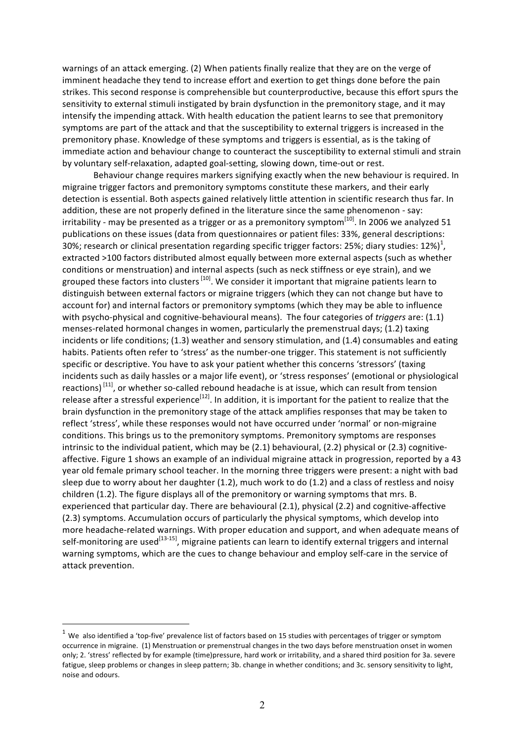warnings of an attack emerging. (2) When patients finally realize that they are on the verge of imminent headache they tend to increase effort and exertion to get things done before the pain strikes. This second response is comprehensible but counterproductive, because this effort spurs the sensitivity to external stimuli instigated by brain dysfunction in the premonitory stage, and it may intensify the impending attack. With health education the patient learns to see that premonitory symptoms are part of the attack and that the susceptibility to external triggers is increased in the premonitory phase. Knowledge of these symptoms and triggers is essential, as is the taking of immediate action and behaviour change to counteract the susceptibility to external stimuli and strain by voluntary self-relaxation, adapted goal-setting, slowing down, time-out or rest.

Behaviour change requires markers signifying exactly when the new behaviour is required. In migraine trigger factors and premonitory symptoms constitute these markers, and their early detection is essential. Both aspects gained relatively little attention in scientific research thus far. In addition, these are not properly defined in the literature since the same phenomenon - say: irritability - may be presented as a trigger or as a premonitory symptom<sup>[10]</sup>. In 2006 we analyzed 51 publications on these issues (data from questionnaires or patient files: 33%, general descriptions: 30%; research or clinical presentation regarding specific trigger factors: 25%; diary studies: 12%)<sup>1</sup>, extracted >100 factors distributed almost equally between more external aspects (such as whether conditions or menstruation) and internal aspects (such as neck stiffness or eye strain), and we grouped these factors into clusters [10]. We consider it important that migraine patients learn to distinguish between external factors or migraine triggers (which they can not change but have to account for) and internal factors or premonitory symptoms (which they may be able to influence with psycho-physical and cognitive-behavioural means). The four categories of *triggers* are: (1.1) menses-related hormonal changes in women, particularly the premenstrual days; (1.2) taxing incidents or life conditions;  $(1.3)$  weather and sensory stimulation, and  $(1.4)$  consumables and eating habits. Patients often refer to 'stress' as the number-one trigger. This statement is not sufficiently specific or descriptive. You have to ask your patient whether this concerns 'stressors' (taxing incidents such as daily hassles or a major life event), or 'stress responses' (emotional or physiological reactions)<sup>[11]</sup>, or whether so-called rebound headache is at issue, which can result from tension release after a stressful experience<sup>[12]</sup>. In addition, it is important for the patient to realize that the brain dysfunction in the premonitory stage of the attack amplifies responses that may be taken to reflect 'stress', while these responses would not have occurred under 'normal' or non-migraine conditions. This brings us to the premonitory symptoms. Premonitory symptoms are responses intrinsic to the individual patient, which may be  $(2.1)$  behavioural,  $(2.2)$  physical or  $(2.3)$  cognitiveaffective. Figure 1 shows an example of an individual migraine attack in progression, reported by a 43 year old female primary school teacher. In the morning three triggers were present: a night with bad sleep due to worry about her daughter (1.2), much work to do (1.2) and a class of restless and noisy children (1.2). The figure displays all of the premonitory or warning symptoms that mrs. B. experienced that particular day. There are behavioural (2.1), physical (2.2) and cognitive-affective (2.3) symptoms. Accumulation occurs of particularly the physical symptoms, which develop into more headache-related warnings. With proper education and support, and when adequate means of self-monitoring are used<sup>[13-15]</sup>, migraine patients can learn to identify external triggers and internal warning symptoms, which are the cues to change behaviour and employ self-care in the service of attack prevention.

 $\overline{a}$ 

 $1$  We also identified a 'top-five' prevalence list of factors based on 15 studies with percentages of trigger or symptom occurrence in migraine. (1) Menstruation or premenstrual changes in the two days before menstruation onset in women only; 2. 'stress' reflected by for example (time)pressure, hard work or irritability, and a shared third position for 3a. severe fatigue, sleep problems or changes in sleep pattern; 3b. change in whether conditions; and 3c. sensory sensitivity to light, noise and odours.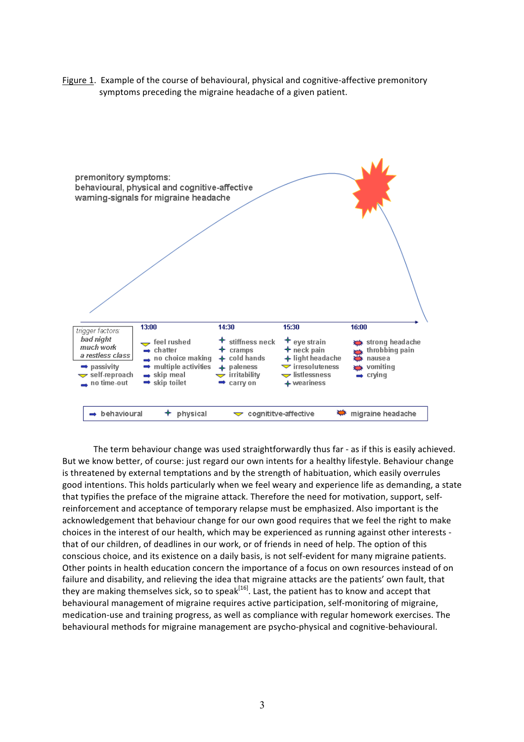Figure 1. Example of the course of behavioural, physical and cognitive-affective premonitory symptoms preceding the migraine headache of a given patient.



The term behaviour change was used straightforwardly thus far - as if this is easily achieved. But we know better, of course: just regard our own intents for a healthy lifestyle. Behaviour change is threatened by external temptations and by the strength of habituation, which easily overrules good intentions. This holds particularly when we feel weary and experience life as demanding, a state that typifies the preface of the migraine attack. Therefore the need for motivation, support, selfreinforcement and acceptance of temporary relapse must be emphasized. Also important is the acknowledgement that behaviour change for our own good requires that we feel the right to make choices in the interest of our health, which may be experienced as running against other interests that of our children, of deadlines in our work, or of friends in need of help. The option of this conscious choice, and its existence on a daily basis, is not self-evident for many migraine patients. Other points in health education concern the importance of a focus on own resources instead of on failure and disability, and relieving the idea that migraine attacks are the patients' own fault, that they are making themselves sick, so to speak<sup>[16]</sup>. Last, the patient has to know and accept that behavioural management of migraine requires active participation, self-monitoring of migraine, medication-use and training progress, as well as compliance with regular homework exercises. The behavioural methods for migraine management are psycho-physical and cognitive-behavioural.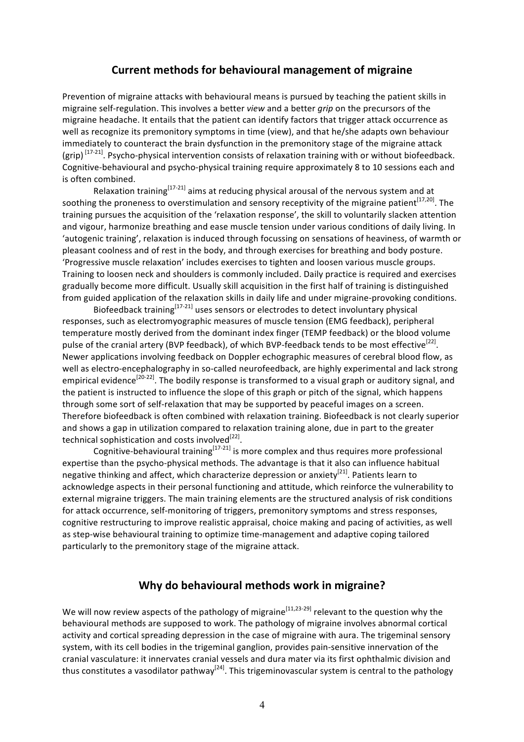#### **Current methods for behavioural management of migraine**

Prevention of migraine attacks with behavioural means is pursued by teaching the patient skills in migraine self-regulation. This involves a better *view* and a better *grip* on the precursors of the migraine headache. It entails that the patient can identify factors that trigger attack occurrence as well as recognize its premonitory symptoms in time (view), and that he/she adapts own behaviour immediately to counteract the brain dysfunction in the premonitory stage of the migraine attack (grip)  $[17-21]$ . Psycho-physical intervention consists of relaxation training with or without biofeedback. Cognitive-behavioural and psycho-physical training require approximately 8 to 10 sessions each and is often combined.

Relaxation training<sup>[17-21]</sup> aims at reducing physical arousal of the nervous system and at soothing the proneness to overstimulation and sensory receptivity of the migraine patient<sup>[17,20]</sup>. The training pursues the acquisition of the 'relaxation response', the skill to voluntarily slacken attention and vigour, harmonize breathing and ease muscle tension under various conditions of daily living. In 'autogenic training', relaxation is induced through focussing on sensations of heaviness, of warmth or pleasant coolness and of rest in the body, and through exercises for breathing and body posture. 'Progressive muscle relaxation' includes exercises to tighten and loosen various muscle groups. Training to loosen neck and shoulders is commonly included. Daily practice is required and exercises gradually become more difficult. Usually skill acquisition in the first half of training is distinguished from guided application of the relaxation skills in daily life and under migraine-provoking conditions.

Biofeedback training<sup>[17-21]</sup> uses sensors or electrodes to detect involuntary physical responses, such as electromyographic measures of muscle tension (EMG feedback), peripheral temperature mostly derived from the dominant index finger (TEMP feedback) or the blood volume pulse of the cranial artery (BVP feedback), of which BVP-feedback tends to be most effective<sup>[22]</sup>. Newer applications involving feedback on Doppler echographic measures of cerebral blood flow, as well as electro-encephalography in so-called neurofeedback, are highly experimental and lack strong empirical evidence<sup>[20-22]</sup>. The bodily response is transformed to a visual graph or auditory signal, and the patient is instructed to influence the slope of this graph or pitch of the signal, which happens through some sort of self-relaxation that may be supported by peaceful images on a screen. Therefore biofeedback is often combined with relaxation training. Biofeedback is not clearly superior and shows a gap in utilization compared to relaxation training alone, due in part to the greater technical sophistication and costs involved $^{[22]}$ .

Cognitive-behavioural training  $[17-21]$  is more complex and thus requires more professional expertise than the psycho-physical methods. The advantage is that it also can influence habitual negative thinking and affect, which characterize depression or anxiety<sup>[21]</sup>. Patients learn to acknowledge aspects in their personal functioning and attitude, which reinforce the vulnerability to external migraine triggers. The main training elements are the structured analysis of risk conditions for attack occurrence, self-monitoring of triggers, premonitory symptoms and stress responses, cognitive restructuring to improve realistic appraisal, choice making and pacing of activities, as well as step-wise behavioural training to optimize time-management and adaptive coping tailored particularly to the premonitory stage of the migraine attack.

## Why do behavioural methods work in migraine?

We will now review aspects of the pathology of migraine<sup>[11,23-29]</sup> relevant to the question why the behavioural methods are supposed to work. The pathology of migraine involves abnormal cortical activity and cortical spreading depression in the case of migraine with aura. The trigeminal sensory system, with its cell bodies in the trigeminal ganglion, provides pain-sensitive innervation of the cranial vasculature: it innervates cranial vessels and dura mater via its first ophthalmic division and thus constitutes a vasodilator pathway<sup>[24]</sup>. This trigeminovascular system is central to the pathology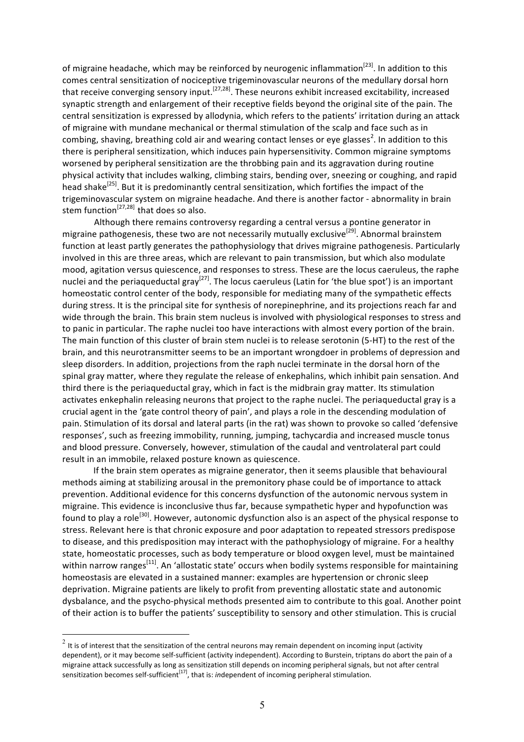of migraine headache, which may be reinforced by neurogenic inflammation<sup>[23]</sup>. In addition to this comes central sensitization of nociceptive trigeminovascular neurons of the medullary dorsal horn that receive converging sensory input.<sup>[27,28]</sup>. These neurons exhibit increased excitability, increased synaptic strength and enlargement of their receptive fields beyond the original site of the pain. The central sensitization is expressed by allodynia, which refers to the patients' irritation during an attack of migraine with mundane mechanical or thermal stimulation of the scalp and face such as in combing, shaving, breathing cold air and wearing contact lenses or eye glasses<sup>2</sup>. In addition to this there is peripheral sensitization, which induces pain hypersensitivity. Common migraine symptoms worsened by peripheral sensitization are the throbbing pain and its aggravation during routine physical activity that includes walking, climbing stairs, bending over, sneezing or coughing, and rapid head shake<sup>[25]</sup>. But it is predominantly central sensitization, which fortifies the impact of the trigeminovascular system on migraine headache. And there is another factor - abnormality in brain stem function<sup>[27,28]</sup> that does so also.

Although there remains controversy regarding a central versus a pontine generator in migraine pathogenesis, these two are not necessarily mutually exclusive<sup>[29]</sup>. Abnormal brainstem function at least partly generates the pathophysiology that drives migraine pathogenesis. Particularly involved in this are three areas, which are relevant to pain transmission, but which also modulate mood, agitation versus quiescence, and responses to stress. These are the locus caeruleus, the raphe nuclei and the periaqueductal gray<sup>[27]</sup>. The locus caeruleus (Latin for 'the blue spot') is an important homeostatic control center of the body, responsible for mediating many of the sympathetic effects during stress. It is the principal site for synthesis of norepinephrine, and its projections reach far and wide through the brain. This brain stem nucleus is involved with physiological responses to stress and to panic in particular. The raphe nuclei too have interactions with almost every portion of the brain. The main function of this cluster of brain stem nuclei is to release serotonin (5-HT) to the rest of the brain, and this neurotransmitter seems to be an important wrongdoer in problems of depression and sleep disorders. In addition, projections from the raph nuclei terminate in the dorsal horn of the spinal gray matter, where they regulate the release of enkephalins, which inhibit pain sensation. And third there is the periaqueductal gray, which in fact is the midbrain gray matter. Its stimulation activates enkephalin releasing neurons that project to the raphe nuclei. The periaqueductal gray is a crucial agent in the 'gate control theory of pain', and plays a role in the descending modulation of pain. Stimulation of its dorsal and lateral parts (in the rat) was shown to provoke so called 'defensive responses', such as freezing immobility, running, jumping, tachycardia and increased muscle tonus and blood pressure. Conversely, however, stimulation of the caudal and ventrolateral part could result in an immobile, relaxed posture known as quiescence.

If the brain stem operates as migraine generator, then it seems plausible that behavioural methods aiming at stabilizing arousal in the premonitory phase could be of importance to attack prevention. Additional evidence for this concerns dysfunction of the autonomic nervous system in migraine. This evidence is inconclusive thus far, because sympathetic hyper and hypofunction was found to play a role<sup>[30]</sup>. However, autonomic dysfunction also is an aspect of the physical response to stress. Relevant here is that chronic exposure and poor adaptation to repeated stressors predispose to disease, and this predisposition may interact with the pathophysiology of migraine. For a healthy state, homeostatic processes, such as body temperature or blood oxygen level, must be maintained within narrow ranges<sup>[11]</sup>. An 'allostatic state' occurs when bodily systems responsible for maintaining homeostasis are elevated in a sustained manner: examples are hypertension or chronic sleep deprivation. Migraine patients are likely to profit from preventing allostatic state and autonomic dysbalance, and the psycho-physical methods presented aim to contribute to this goal. Another point of their action is to buffer the patients' susceptibility to sensory and other stimulation. This is crucial

 $2$  It is of interest that the sensitization of the central neurons may remain dependent on incoming input (activity dependent), or it may become self-sufficient (activity independent). According to Burstein, triptans do abort the pain of a migraine attack successfully as long as sensitization still depends on incoming peripheral signals, but not after central sensitization becomes self-sufficient<sup>[17]</sup>, that is: *in*dependent of incoming peripheral stimulation.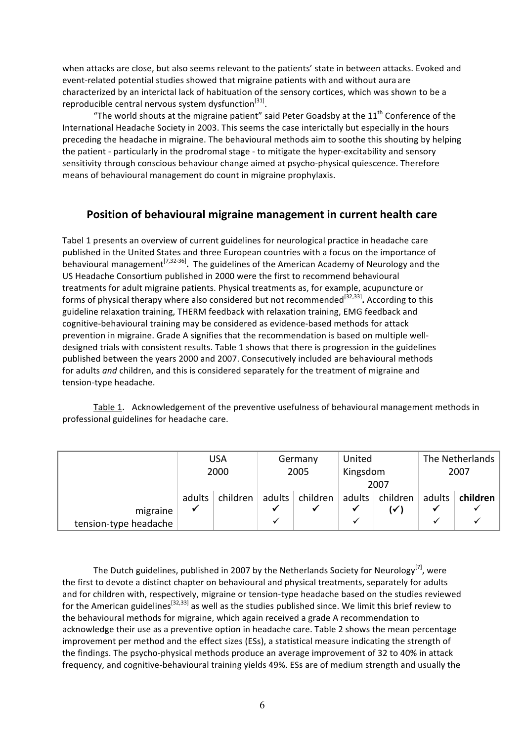when attacks are close, but also seems relevant to the patients' state in between attacks. Evoked and event-related potential studies showed that migraine patients with and without aura are characterized by an interictal lack of habituation of the sensory cortices, which was shown to be a reproducible central nervous system dysfunction<sup>[31]</sup>.

"The world shouts at the migraine patient" said Peter Goadsby at the  $11<sup>th</sup>$  Conference of the International Headache Society in 2003. This seems the case interictally but especially in the hours preceding the headache in migraine. The behavioural methods aim to soothe this shouting by helping the patient - particularly in the prodromal stage - to mitigate the hyper-excitability and sensory sensitivity through conscious behaviour change aimed at psycho-physical quiescence. Therefore means of behavioural management do count in migraine prophylaxis.

# **Position of behavioural migraine management in current health care**

Tabel 1 presents an overview of current guidelines for neurological practice in headache care published in the United States and three European countries with a focus on the importance of behavioural management<sup>[7,32-36]</sup>. The guidelines of the American Academy of Neurology and the US Headache Consortium published in 2000 were the first to recommend behavioural treatments for adult migraine patients. Physical treatments as, for example, acupuncture or forms of physical therapy where also considered but not recommended<sup>[32,33]</sup>. According to this guideline relaxation training, THERM feedback with relaxation training, EMG feedback and cognitive-behavioural training may be considered as evidence-based methods for attack prevention in migraine. Grade A signifies that the recommendation is based on multiple welldesigned trials with consistent results. Table 1 shows that there is progression in the guidelines published between the years 2000 and 2007. Consecutively included are behavioural methods for adults *and* children, and this is considered separately for the treatment of migraine and tension-type headache.

Table 1. Acknowledgement of the preventive usefulness of behavioural management methods in professional guidelines for headache care.

|                       | <b>USA</b> |          | Germany |          | United   |          | The Netherlands |          |
|-----------------------|------------|----------|---------|----------|----------|----------|-----------------|----------|
|                       | 2000       |          | 2005    |          | Kingsdom |          | 2007            |          |
|                       |            |          |         |          | 2007     |          |                 |          |
|                       | adults     | children | adults  | children | adults   | children | adults $ $      | children |
| migraine              | √          |          |         |          |          | ( ∕ ا    |                 |          |
| tension-type headache |            |          |         |          | v        |          |                 |          |

The Dutch guidelines, published in 2007 by the Netherlands Society for Neurology<sup>[7]</sup>, were the first to devote a distinct chapter on behavioural and physical treatments, separately for adults and for children with, respectively, migraine or tension-type headache based on the studies reviewed for the American guidelines<sup>[32,33]</sup> as well as the studies published since. We limit this brief review to the behavioural methods for migraine, which again received a grade A recommendation to acknowledge their use as a preventive option in headache care. Table 2 shows the mean percentage improvement per method and the effect sizes (ESs), a statistical measure indicating the strength of the findings. The psycho-physical methods produce an average improvement of 32 to 40% in attack frequency, and cognitive-behavioural training yields 49%. ESs are of medium strength and usually the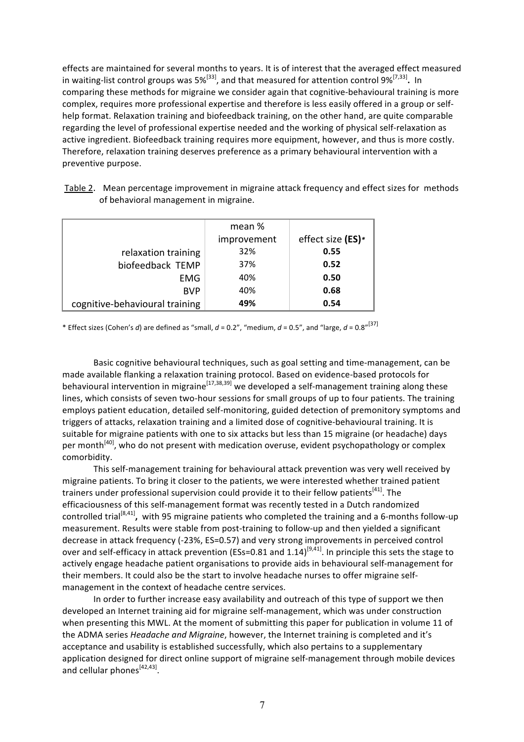effects are maintained for several months to years. It is of interest that the averaged effect measured in waiting-list control groups was  $5\%^{[33]}$ , and that measured for attention control  $9\%^{[7,33]}$ . In comparing these methods for migraine we consider again that cognitive-behavioural training is more complex, requires more professional expertise and therefore is less easily offered in a group or selfhelp format. Relaxation training and biofeedback training, on the other hand, are quite comparable regarding the level of professional expertise needed and the working of physical self-relaxation as active ingredient. Biofeedback training requires more equipment, however, and thus is more costly. Therefore, relaxation training deserves preference as a primary behavioural intervention with a preventive purpose.

|                                | mean %      |                   |
|--------------------------------|-------------|-------------------|
|                                | improvement | effect size (ES)* |
| relaxation training            | 32%         | 0.55              |
| biofeedback TEMP               | 37%         | 0.52              |
| <b>EMG</b>                     | 40%         | 0.50              |
| <b>BVP</b>                     | 40%         | 0.68              |
| cognitive-behavioural training | 49%         | 0.54              |

Table 2. Mean percentage improvement in migraine attack frequency and effect sizes for methods of behavioral management in migraine.

\* Effect sizes (Cohen's *d*) are defined as "small,  $d$  = 0.2", "medium,  $d$  = 0.5", and "large,  $d$  = 0.8"<sup>[37]</sup>

Basic cognitive behavioural techniques, such as goal setting and time-management, can be made available flanking a relaxation training protocol. Based on evidence-based protocols for behavioural intervention in migraine<sup>[17,38,39]</sup> we developed a self-management training along these lines, which consists of seven two-hour sessions for small groups of up to four patients. The training employs patient education, detailed self-monitoring, guided detection of premonitory symptoms and triggers of attacks, relaxation training and a limited dose of cognitive-behavioural training. It is suitable for migraine patients with one to six attacks but less than 15 migraine (or headache) days per month<sup>[40]</sup>, who do not present with medication overuse, evident psychopathology or complex comorbidity.

This self-management training for behavioural attack prevention was very well received by migraine patients. To bring it closer to the patients, we were interested whether trained patient trainers under professional supervision could provide it to their fellow patients<sup>[41]</sup>. The efficaciousness of this self-management format was recently tested in a Dutch randomized controlled trial<sup>[8,41]</sup>, with 95 migraine patients who completed the training and a 6-months follow-up measurement. Results were stable from post-training to follow-up and then yielded a significant decrease in attack frequency (-23%, ES=0.57) and very strong improvements in perceived control over and self-efficacy in attack prevention (ESs=0.81 and 1.14)<sup>[9,41]</sup>. In principle this sets the stage to actively engage headache patient organisations to provide aids in behavioural self-management for their members. It could also be the start to involve headache nurses to offer migraine selfmanagement in the context of headache centre services.

In order to further increase easy availability and outreach of this type of support we then developed an Internet training aid for migraine self-management, which was under construction when presenting this MWL. At the moment of submitting this paper for publication in volume 11 of the ADMA series *Headache and Migraine*, however, the Internet training is completed and it's acceptance and usability is established successfully, which also pertains to a supplementary application designed for direct online support of migraine self-management through mobile devices and cellular phones<sup>[42,43]</sup>.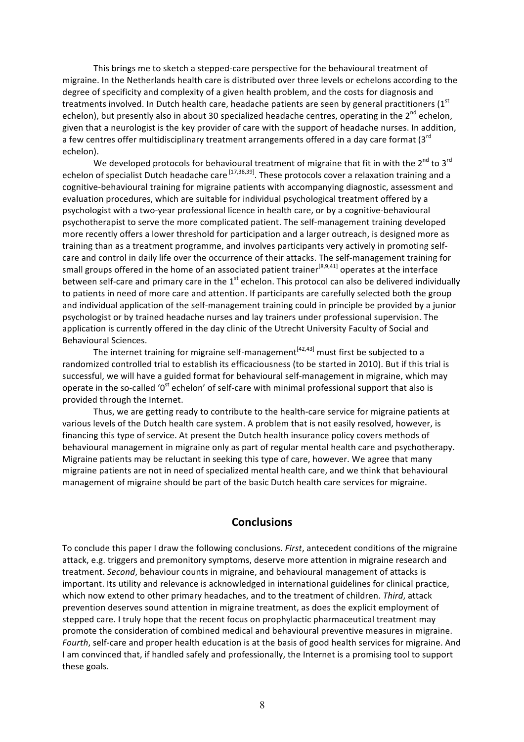This brings me to sketch a stepped-care perspective for the behavioural treatment of migraine. In the Netherlands health care is distributed over three levels or echelons according to the degree of specificity and complexity of a given health problem, and the costs for diagnosis and treatments involved. In Dutch health care, headache patients are seen by general practitioners (1st echelon), but presently also in about 30 specialized headache centres, operating in the 2<sup>nd</sup> echelon. given that a neurologist is the key provider of care with the support of headache nurses. In addition, a few centres offer multidisciplinary treatment arrangements offered in a day care format ( $3<sup>rd</sup>$ echelon).

We developed protocols for behavioural treatment of migraine that fit in with the 2<sup>nd</sup> to 3<sup>rd</sup> echelon of specialist Dutch headache care <sup>[17,38,39]</sup>. These protocols cover a relaxation training and a cognitive-behavioural training for migraine patients with accompanying diagnostic, assessment and evaluation procedures, which are suitable for individual psychological treatment offered by a psychologist with a two-year professional licence in health care, or by a cognitive-behavioural psychotherapist to serve the more complicated patient. The self-management training developed more recently offers a lower threshold for participation and a larger outreach, is designed more as training than as a treatment programme, and involves participants very actively in promoting selfcare and control in daily life over the occurrence of their attacks. The self-management training for small groups offered in the home of an associated patient trainer<sup>[8,9,41]</sup> operates at the interface between self-care and primary care in the  $1<sup>st</sup>$  echelon. This protocol can also be delivered individually to patients in need of more care and attention. If participants are carefully selected both the group and individual application of the self-management training could in principle be provided by a junior psychologist or by trained headache nurses and lay trainers under professional supervision. The application is currently offered in the day clinic of the Utrecht University Faculty of Social and Behavioural Sciences.

The internet training for migraine self-management<sup>[42,43]</sup> must first be subjected to a randomized controlled trial to establish its efficaciousness (to be started in 2010). But if this trial is successful, we will have a guided format for behavioural self-management in migraine, which may operate in the so-called ' $0<sup>st</sup>$  echelon' of self-care with minimal professional support that also is provided through the Internet.

Thus, we are getting ready to contribute to the health-care service for migraine patients at various levels of the Dutch health care system. A problem that is not easily resolved, however, is financing this type of service. At present the Dutch health insurance policy covers methods of behavioural management in migraine only as part of regular mental health care and psychotherapy. Migraine patients may be reluctant in seeking this type of care, however. We agree that many migraine patients are not in need of specialized mental health care, and we think that behavioural management of migraine should be part of the basic Dutch health care services for migraine.

#### **Conclusions**

To conclude this paper I draw the following conclusions. *First*, antecedent conditions of the migraine attack, e.g. triggers and premonitory symptoms, deserve more attention in migraine research and treatment. *Second*, behaviour counts in migraine, and behavioural management of attacks is important. Its utility and relevance is acknowledged in international guidelines for clinical practice, which now extend to other primary headaches, and to the treatment of children. *Third*, attack prevention deserves sound attention in migraine treatment, as does the explicit employment of stepped care. I truly hope that the recent focus on prophylactic pharmaceutical treatment may promote the consideration of combined medical and behavioural preventive measures in migraine. *Fourth*, self-care and proper health education is at the basis of good health services for migraine. And I am convinced that, if handled safely and professionally, the Internet is a promising tool to support these goals.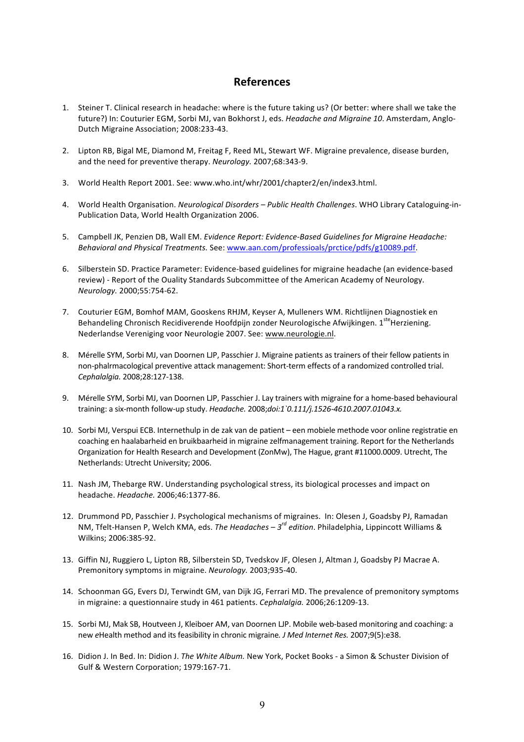# **References**

- 1. Steiner T. Clinical research in headache: where is the future taking us? (Or better: where shall we take the future?) In: Couturier EGM, Sorbi MJ, van Bokhorst J, eds. *Headache and Migraine 10*. Amsterdam, Anglo-Dutch Migraine Association; 2008:233-43.
- 2. Lipton RB, Bigal ME, Diamond M, Freitag F, Reed ML, Stewart WF. Migraine prevalence, disease burden, and the need for preventive therapy. *Neurology.* 2007;68:343-9.
- 3. World Health Report 2001. See: www.who.int/whr/2001/chapter2/en/index3.html.
- 4. World Health Organisation. *Neurological Disorders Public Health Challenges*. WHO Library Cataloguing-in-Publication Data, World Health Organization 2006.
- 5. Campbell JK, Penzien DB, Wall EM. *Evidence Report: Evidence-Based Guidelines for Migraine Headache:* Behavioral and Physical Treatments. See: www.aan.com/professioals/prctice/pdfs/g10089.pdf.
- 6. Silberstein SD. Practice Parameter: Evidence-based guidelines for migraine headache (an evidence-based review) - Report of the Ouality Standards Subcommittee of the American Academy of Neurology. *Neurology.* 2000;55:754-62.
- 7. Couturier EGM, Bomhof MAM, Gooskens RHJM, Keyser A, Mulleners WM. Richtlijnen Diagnostiek en Behandeling Chronisch Recidiverende Hoofdpijn zonder Neurologische Afwijkingen. 1<sup>ste</sup>Herziening. Nederlandse Vereniging voor Neurologie 2007. See: www.neurologie.nl.
- 8. Mérelle SYM, Sorbi MJ, van Doornen LJP, Passchier J. Migraine patients as trainers of their fellow patients in non-phalrmacological preventive attack management: Short-term effects of a randomized controlled trial. *Cephalalgia.* 2008;28:127-138.
- 9. Mérelle SYM, Sorbi MJ, van Doornen LJP, Passchier J. Lay trainers with migraine for a home-based behavioural training: a six-month follow-up study. *Headache.* 2008;*doi:1`0.111/j.1526-4610.2007.01043.x.*
- 10. Sorbi MJ, Verspui ECB. Internethulp in de zak van de patient een mobiele methode voor online registratie en coaching en haalabarheid en bruikbaarheid in migraine zelfmanagement training. Report for the Netherlands Organization for Health Research and Development (ZonMw), The Hague, grant #11000.0009. Utrecht, The Netherlands: Utrecht University; 2006.
- 11. Nash JM, Thebarge RW. Understanding psychological stress, its biological processes and impact on headache. *Headache.* 2006:46:1377-86.
- 12. Drummond PD, Passchier J. Psychological mechanisms of migraines. In: Olesen J, Goadsby PJ, Ramadan NM, Tfelt-Hansen P, Welch KMA, eds. *The Headaches – 3<sup>rd</sup> edition*. Philadelphia, Lippincott Williams & Wilkins; 2006:385-92.
- 13. Giffin NJ, Ruggiero L, Lipton RB, Silberstein SD, Tvedskov JF, Olesen J, Altman J, Goadsby PJ Macrae A. Premonitory symptoms in migraine. *Neurology.* 2003;935-40.
- 14. Schoonman GG, Evers DJ, Terwindt GM, van Dijk JG, Ferrari MD. The prevalence of premonitory symptoms in migraine: a questionnaire study in 461 patients. *Cephalalgia*. 2006;26:1209-13.
- 15. Sorbi MJ, Mak SB, Houtveen J, Kleiboer AM, van Doornen LJP. Mobile web-based monitoring and coaching: a new *e*Health method and its feasibility in chronic migraine. *J Med Internet Res.* 2007;9(5):e38.
- 16. Didion J. In Bed. In: Didion J. The White Album. New York, Pocket Books a Simon & Schuster Division of Gulf & Western Corporation; 1979:167-71.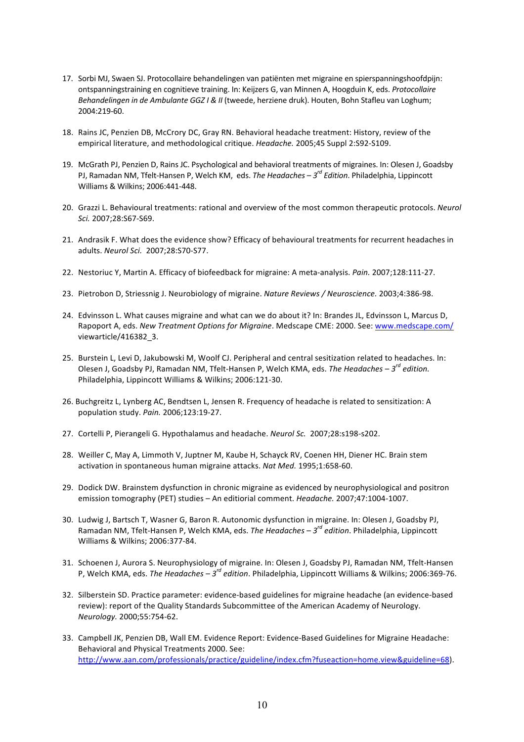- 17. Sorbi MJ, Swaen SJ. Protocollaire behandelingen van patiënten met migraine en spierspanningshoofdpijn: ontspanningstraining en cognitieve training. In: Keijzers G, van Minnen A, Hoogduin K, eds. Protocollaire Behandelingen in de Ambulante GGZ I & II (tweede, herziene druk). Houten, Bohn Stafleu van Loghum; 2004:219-60.
- 18. Rains JC, Penzien DB, McCrory DC, Gray RN. Behavioral headache treatment: History, review of the empirical literature, and methodological critique. Headache. 2005;45 Suppl 2:S92-S109.
- 19. McGrath PJ, Penzien D, Rains JC. Psychological and behavioral treatments of migraines. In: Olesen J, Goadsby PJ, Ramadan NM, Tfelt-Hansen P, Welch KM, eds. The Headaches - 3<sup>rd</sup> Edition. Philadelphia, Lippincott Williams & Wilkins; 2006:441-448.
- 20. Grazzi L. Behavioural treatments: rational and overview of the most common therapeutic protocols. Neurol Sci. 2007;28:S67-S69.
- 21. Andrasik F. What does the evidence show? Efficacy of behavioural treatments for recurrent headaches in adults. Neurol Sci. 2007;28:S70-S77.
- 22. Nestoriuc Y, Martin A. Efficacy of biofeedback for migraine: A meta-analysis. Pain. 2007;128:111-27.
- 23. Pietrobon D, Striessnig J. Neurobiology of migraine. Nature Reviews / Neuroscience. 2003;4:386-98.
- 24. Edvinsson L. What causes migraine and what can we do about it? In: Brandes JL, Edvinsson L, Marcus D, Rapoport A, eds. New Treatment Options for Migraine. Medscape CME: 2000. See: www.medscape.com/ viewarticle/416382 3.
- 25. Burstein L, Levi D, Jakubowski M, Woolf CJ. Peripheral and central sesitization related to headaches. In: Olesen J, Goadsby PJ, Ramadan NM, Tfelt-Hansen P, Welch KMA, eds. The Headaches  $-3^{rd}$  edition. Philadelphia, Lippincott Williams & Wilkins; 2006:121-30.
- 26. Buchgreitz L, Lynberg AC, Bendtsen L, Jensen R. Frequency of headache is related to sensitization: A population study. Pain. 2006;123:19-27.
- 27. Cortelli P, Pierangeli G. Hypothalamus and headache. Neurol Sc. 2007;28:s198-s202.
- 28. Weiller C, May A, Limmoth V, Juptner M, Kaube H, Schayck RV, Coenen HH, Diener HC. Brain stem activation in spontaneous human migraine attacks. Nat Med. 1995;1:658-60.
- 29. Dodick DW. Brainstem dysfunction in chronic migraine as evidenced by neurophysiological and positron emission tomography (PET) studies - An editiorial comment. Headache. 2007;47:1004-1007.
- 30. Ludwig J, Bartsch T, Wasner G, Baron R. Autonomic dysfunction in migraine. In: Olesen J, Goadsby PJ, Ramadan NM, Tfelt-Hansen P, Welch KMA, eds. The Headaches - 3<sup>rd</sup> edition. Philadelphia, Lippincott Williams & Wilkins: 2006:377-84.
- 31. Schoenen J, Aurora S. Neurophysiology of migraine. In: Olesen J, Goadsby PJ, Ramadan NM, Tfelt-Hansen P, Welch KMA, eds. The Headaches  $-3^{rd}$  edition. Philadelphia, Lippincott Williams & Wilkins; 2006:369-76.
- 32. Silberstein SD. Practice parameter: evidence-based guidelines for migraine headache (an evidence-based review): report of the Quality Standards Subcommittee of the American Academy of Neurology. Neurology. 2000;55:754-62.
- 33. Campbell JK, Penzien DB, Wall EM. Evidence Report: Evidence-Based Guidelines for Migraine Headache: Behavioral and Physical Treatments 2000. See: http://www.aan.com/professionals/practice/guideline/index.cfm?fuseaction=home.view&guideline=68).